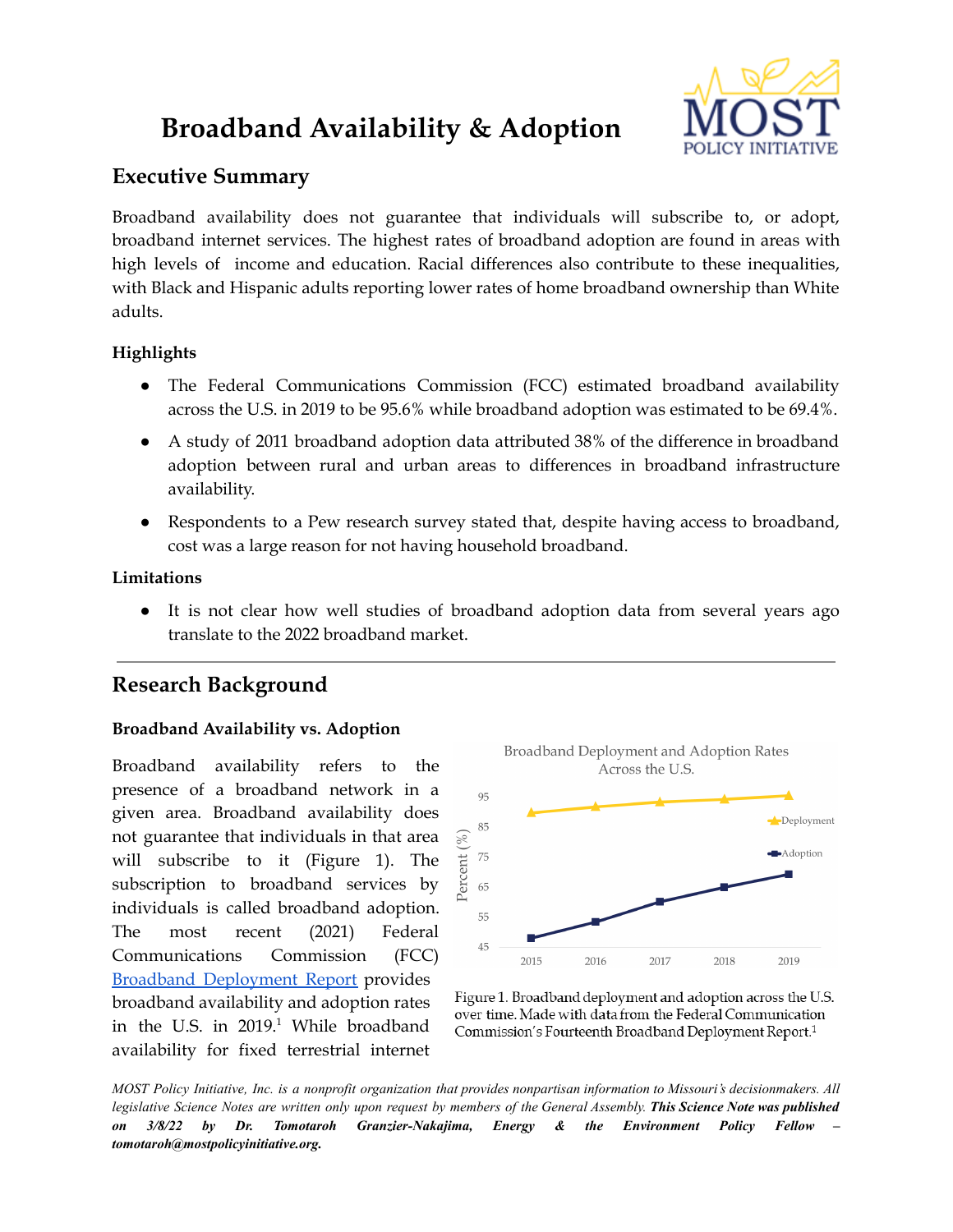# **Broadband Availability & Adoption**



# **Executive Summary**

Broadband availability does not guarantee that individuals will subscribe to, or adopt, broadband internet services. The highest rates of broadband adoption are found in areas with high levels of income and education. Racial differences also contribute to these inequalities, with Black and Hispanic adults reporting lower rates of home broadband ownership than White adults.

## **Highlights**

- The Federal Communications Commission (FCC) estimated broadband availability across the U.S. in 2019 to be 95.6% while broadband adoption was estimated to be 69.4%.
- A study of 2011 broadband adoption data attributed 38% of the difference in broadband adoption between rural and urban areas to differences in broadband infrastructure availability.
- Respondents to a Pew research survey stated that, despite having access to broadband, cost was a large reason for not having household broadband.

## **Limitations**

• It is not clear how well studies of broadband adoption data from several years ago translate to the 2022 broadband market.

# **Research Background**

### **Broadband Availability vs. Adoption**

Broadband availability refers to the presence of a broadband network in a given area. Broadband availability does not guarantee that individuals in that area will subscribe to it (Figure 1). The subscription to broadband services by individuals is called broadband adoption. The most recent (2021) Federal Communications Commission (FCC) Broadband [Deployment](https://www.fcc.gov/reports-research/reports/broadband-progress-reports/fourteenth-broadband-deployment-report) Report provides broadband availability and adoption rates in the U.S. in 2019. <sup>1</sup> While broadband availability for fixed terrestrial internet



Figure 1. Broadband deployment and adoption across the U.S. over time. Made with data from the Federal Communication Commission's Fourteenth Broadband Deployment Report.<sup>1</sup>

MOST Policy Initiative, Inc. is a nonprofit organization that provides nonpartisan information to Missouri's decisionmakers. All legislative Science Notes are written only upon request by members of the General Assembly. This Science Note was published *on 3/8/22 by Dr. Tomotaroh Granzier-Nakajima, Energy & the Environment Policy Fellow – tomotaroh@mostpolicyinitiative.org.*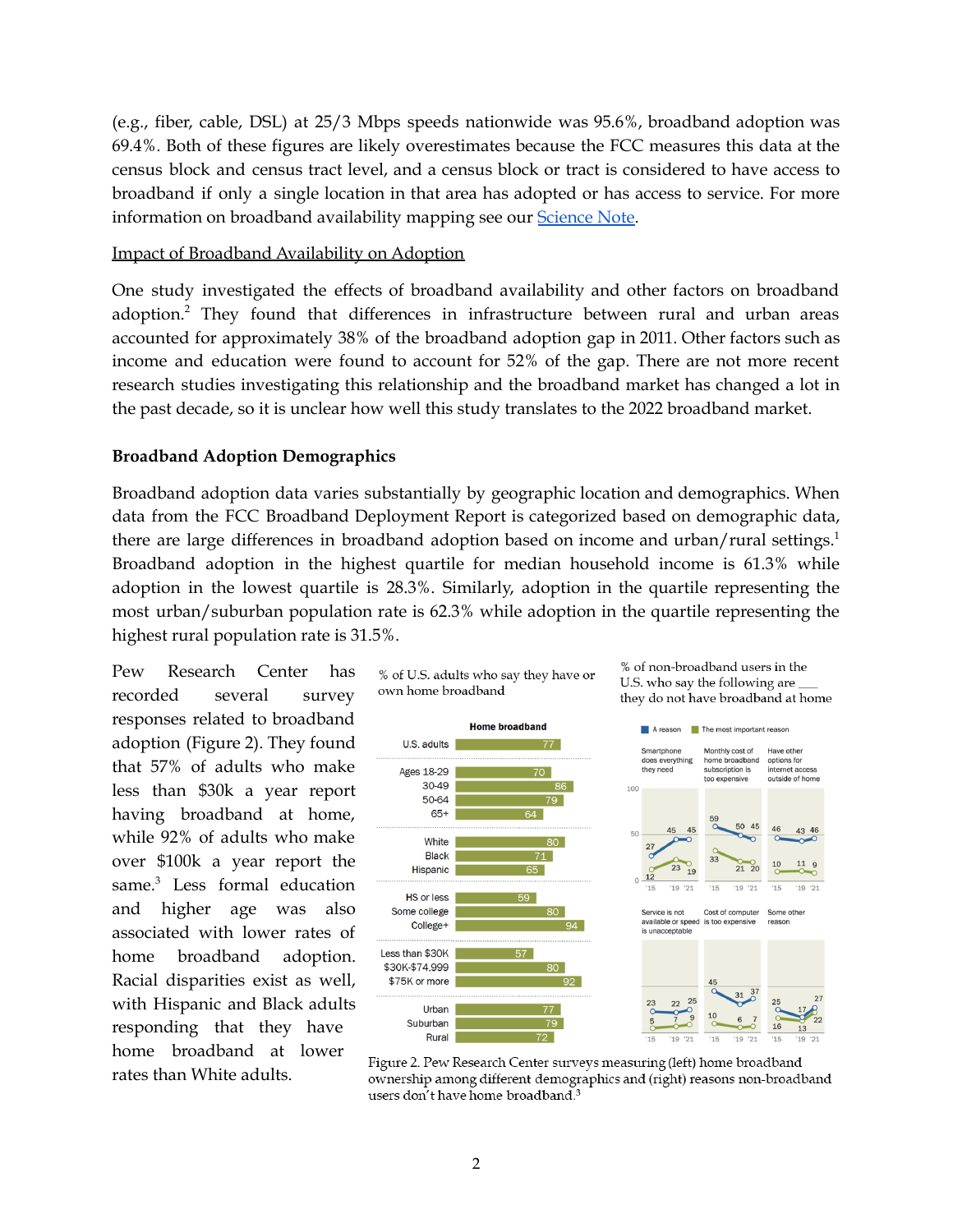(e.g., fiber, cable, DSL) at 25/3 Mbps speeds nationwide was 95.6%, broadband adoption was 69.4%. Both of these figures are likely overestimates because the FCC measures this data at the census block and census tract level, and a census block or tract is considered to have access to broadband if only a single location in that area has adopted or has access to service. For more information on broadband availability mapping see our **[Science](https://mostpolicyinitiative.org/science-note/broadband-availability-mapping/) Note**.

#### Impact of Broadband Availability on Adoption

One study investigated the effects of broadband availability and other factors on broadband adoption.<sup>2</sup> They found that differences in infrastructure between rural and urban areas accounted for approximately 38% of the broadband adoption gap in 2011. Other factors such as income and education were found to account for 52% of the gap. There are not more recent research studies investigating this relationship and the broadband market has changed a lot in the past decade, so it is unclear how well this study translates to the 2022 broadband market.

#### **Broadband Adoption Demographics**

Broadband adoption data varies substantially by geographic location and demographics. When data from the FCC Broadband Deployment Report is categorized based on demographic data, there are large differences in broadband adoption based on income and urban/rural settings.<sup>1</sup> Broadband adoption in the highest quartile for median household income is 61.3% while adoption in the lowest quartile is 28.3%. Similarly, adoption in the quartile representing the most urban/suburban population rate is 62.3% while adoption in the quartile representing the highest rural population rate is 31.5%.

Pew Research Center has recorded several survey responses related to broadband adoption (Figure 2). They found that 57% of adults who make less than \$30k a year report having broadband at home, while 92% of adults who make over \$100k a year report the same. <sup>3</sup> Less formal education and higher age was also associated with lower rates of home broadband adoption. Racial disparities exist as well, with Hispanic and Black adults responding that they have home broadband at lower rates than White adults.





% of non-broadband users in the

U.S. who say the following are

Figure 2. Pew Research Center surveys measuring (left) home broadband ownership among different demographics and (right) reasons non-broadband users don't have home broadband.<sup>3</sup>